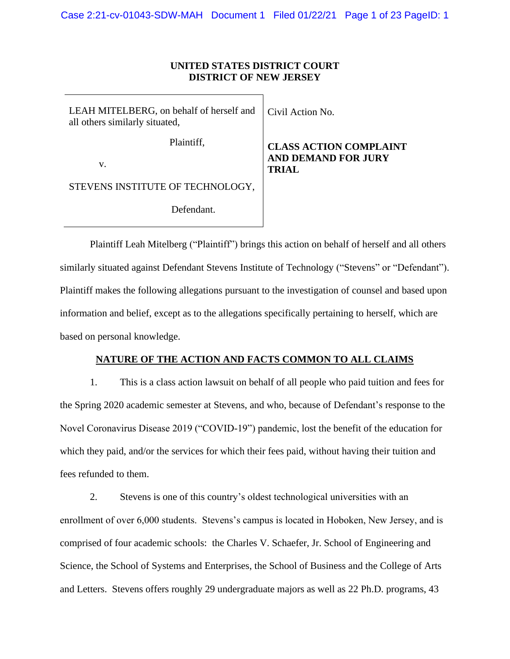# **UNITED STATES DISTRICT COURT DISTRICT OF NEW JERSEY**

| LEAH MITELBERG, on behalf of herself and<br>all others similarly situated, | Civil Action No.                                              |
|----------------------------------------------------------------------------|---------------------------------------------------------------|
| Plaintiff,<br>$V_{-}$                                                      | <b>CLASS ACTION 0</b><br><b>AND DEMAND FO</b><br><b>TRIAL</b> |
| STEVENS INSTITUTE OF TECHNOLOGY,                                           |                                                               |
| Defendant.                                                                 |                                                               |

**COMPLAINT DR JURY** 

Plaintiff Leah Mitelberg ("Plaintiff") brings this action on behalf of herself and all others similarly situated against Defendant Stevens Institute of Technology ("Stevens" or "Defendant"). Plaintiff makes the following allegations pursuant to the investigation of counsel and based upon information and belief, except as to the allegations specifically pertaining to herself, which are based on personal knowledge.

## **NATURE OF THE ACTION AND FACTS COMMON TO ALL CLAIMS**

1. This is a class action lawsuit on behalf of all people who paid tuition and fees for the Spring 2020 academic semester at Stevens, and who, because of Defendant's response to the Novel Coronavirus Disease 2019 ("COVID-19") pandemic, lost the benefit of the education for which they paid, and/or the services for which their fees paid, without having their tuition and fees refunded to them.

2. Stevens is one of this country's oldest technological universities with an enrollment of over 6,000 students. Stevens's campus is located in Hoboken, New Jersey, and is comprised of four academic schools: the Charles V. Schaefer, Jr. School of Engineering and Science, the School of Systems and Enterprises, the School of Business and the College of Arts and Letters. Stevens offers roughly 29 undergraduate majors as well as 22 Ph.D. programs, 43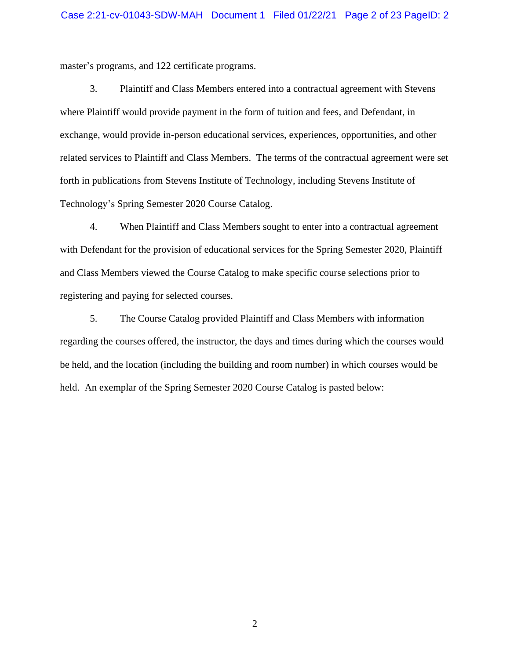master's programs, and 122 certificate programs.

3. Plaintiff and Class Members entered into a contractual agreement with Stevens where Plaintiff would provide payment in the form of tuition and fees, and Defendant, in exchange, would provide in-person educational services, experiences, opportunities, and other related services to Plaintiff and Class Members. The terms of the contractual agreement were set forth in publications from Stevens Institute of Technology, including Stevens Institute of Technology's Spring Semester 2020 Course Catalog.

4. When Plaintiff and Class Members sought to enter into a contractual agreement with Defendant for the provision of educational services for the Spring Semester 2020, Plaintiff and Class Members viewed the Course Catalog to make specific course selections prior to registering and paying for selected courses.

5. The Course Catalog provided Plaintiff and Class Members with information regarding the courses offered, the instructor, the days and times during which the courses would be held, and the location (including the building and room number) in which courses would be held. An exemplar of the Spring Semester 2020 Course Catalog is pasted below: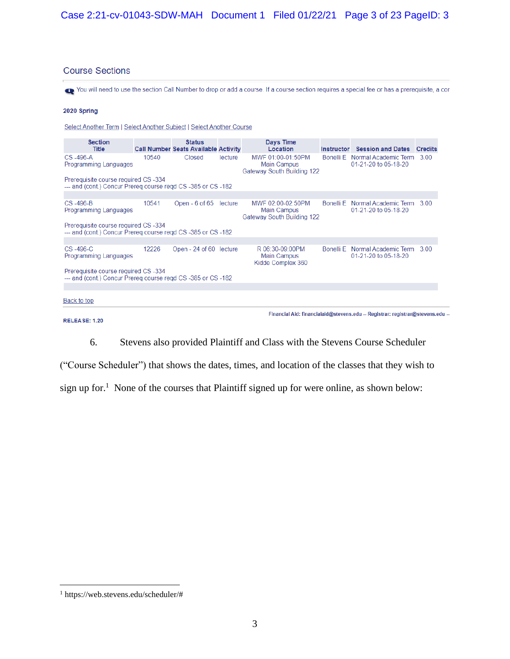# **Course Sections**

To You will need to use the section Call Number to drop or add a course. If a course section requires a special fee or has a prerequisite, a cor-

#### 2020 Spring

Select Another Term | Select Another Subject | Select Another Course

| <b>Section</b><br><b>Title</b>                                                                      |       | <b>Status</b><br><b>Call Number Seats Available Activity</b> |         | Days Time<br>Location                                                        | <b>Instructor</b> | <b>Session and Dates Credits</b>                       |      |  |
|-----------------------------------------------------------------------------------------------------|-------|--------------------------------------------------------------|---------|------------------------------------------------------------------------------|-------------------|--------------------------------------------------------|------|--|
| $CS -496-A$<br>Programming Languages                                                                | 10540 | Closed                                                       | lecture | MWF 01:00-01:50PM<br><b>Main Campus</b><br><b>Gateway South Building 122</b> |                   | Bonelli E Normal Academic Term<br>01-21-20 to 05-18-20 | 3.00 |  |
| Prerequisite course required CS-334<br>--- and (cont.) Concur Prereg course regd CS -385 or CS -182 |       |                                                              |         |                                                                              |                   |                                                        |      |  |
|                                                                                                     |       |                                                              |         |                                                                              |                   |                                                        |      |  |
| $CS -496-B$<br>Programming Languages                                                                | 10541 | Open - 6 of 65                                               | lecture | MWF 02:00-02:50PM<br><b>Main Campus</b><br>Gateway South Building 122        | Bonelli E         | Normal Academic Term<br>01-21-20 to 05-18-20           | 3.00 |  |
| Prerequisite course required CS-334<br>--- and (cont.) Concur Prereg course regd CS -385 or CS -182 |       |                                                              |         |                                                                              |                   |                                                        |      |  |
|                                                                                                     |       |                                                              |         |                                                                              |                   |                                                        |      |  |
| $CS -496-C$<br>Programming Languages                                                                | 12226 | Open - 24 of 60 lecture                                      |         | R 06:30-09:00PM<br><b>Main Campus</b><br>Kidde Complex 360                   | Bonelli E         | Normal Academic Term<br>01-21-20 to 05-18-20           | 3.00 |  |
| Prerequisite course required CS-334<br>--- and (cont.) Concur Prereg course regd CS -385 or CS -182 |       |                                                              |         |                                                                              |                   |                                                        |      |  |
|                                                                                                     |       |                                                              |         |                                                                              |                   |                                                        |      |  |
| Back to top                                                                                         |       |                                                              |         |                                                                              |                   |                                                        |      |  |

#### RELEASE: 1.20

Financial Aid: financialaid@stevens.edu -- Registrar: registrar@stevens.edu --

6. Stevens also provided Plaintiff and Class with the Stevens Course Scheduler

("Course Scheduler") that shows the dates, times, and location of the classes that they wish to sign up for.<sup>1</sup> None of the courses that Plaintiff signed up for were online, as shown below:

<sup>1</sup> https://web.stevens.edu/scheduler/#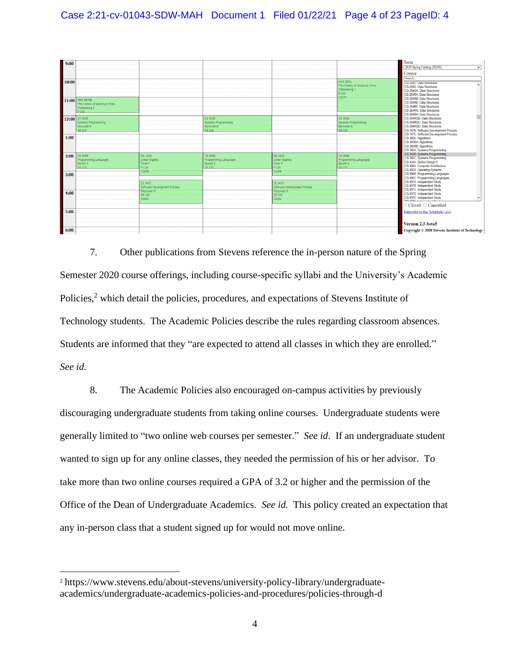

7. Other publications from Stevens reference the in-person nature of the Spring Semester 2020 course offerings, including course-specific syllabi and the University's Academic Policies,<sup>2</sup> which detail the policies, procedures, and expectations of Stevens Institute of Technology students. The Academic Policies describe the rules regarding classroom absences. Students are informed that they "are expected to attend all classes in which they are enrolled." *See id*.

8. The Academic Policies also encouraged on-campus activities by previously discouraging undergraduate students from taking online courses. Undergraduate students were generally limited to "two online web courses per semester." *See id*. If an undergraduate student wanted to sign up for any online classes, they needed the permission of his or her advisor. To take more than two online courses required a GPA of 3.2 or higher and the permission of the Office of the Dean of Undergraduate Academics. *See id.* This policy created an expectation that any in-person class that a student signed up for would not move online.

<sup>2</sup> https://www.stevens.edu/about-stevens/university-policy-library/undergraduateacademics/undergraduate-academics-policies-and-procedures/policies-through-d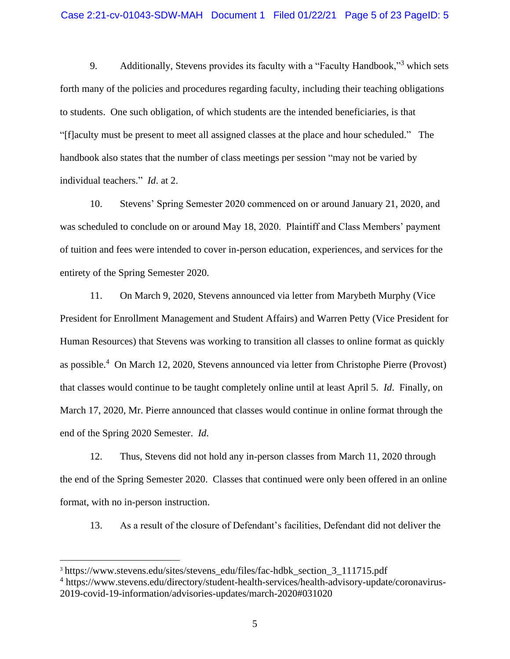9. Additionally, Stevens provides its faculty with a "Faculty Handbook,"<sup>3</sup> which sets forth many of the policies and procedures regarding faculty, including their teaching obligations to students. One such obligation, of which students are the intended beneficiaries, is that "[f]aculty must be present to meet all assigned classes at the place and hour scheduled." The handbook also states that the number of class meetings per session "may not be varied by individual teachers." *Id*. at 2.

10. Stevens' Spring Semester 2020 commenced on or around January 21, 2020, and was scheduled to conclude on or around May 18, 2020. Plaintiff and Class Members' payment of tuition and fees were intended to cover in-person education, experiences, and services for the entirety of the Spring Semester 2020.

11. On March 9, 2020, Stevens announced via letter from Marybeth Murphy (Vice President for Enrollment Management and Student Affairs) and Warren Petty (Vice President for Human Resources) that Stevens was working to transition all classes to online format as quickly as possible.<sup>4</sup> On March 12, 2020, Stevens announced via letter from Christophe Pierre (Provost) that classes would continue to be taught completely online until at least April 5. *Id*. Finally, on March 17, 2020, Mr. Pierre announced that classes would continue in online format through the end of the Spring 2020 Semester. *Id*.

12. Thus, Stevens did not hold any in-person classes from March 11, 2020 through the end of the Spring Semester 2020. Classes that continued were only been offered in an online format, with no in-person instruction.

13. As a result of the closure of Defendant's facilities, Defendant did not deliver the

<sup>&</sup>lt;sup>3</sup> [https://www.stevens.edu/sites/stevens\\_edu/files/fac-hdbk\\_section\\_3\\_111715.pdf](https://www.stevens.edu/sites/stevens_edu/files/fac-hdbk_section_3_111715.pdf)

<sup>4</sup> https://www.stevens.edu/directory/student-health-services/health-advisory-update/coronavirus-2019-covid-19-information/advisories-updates/march-2020#031020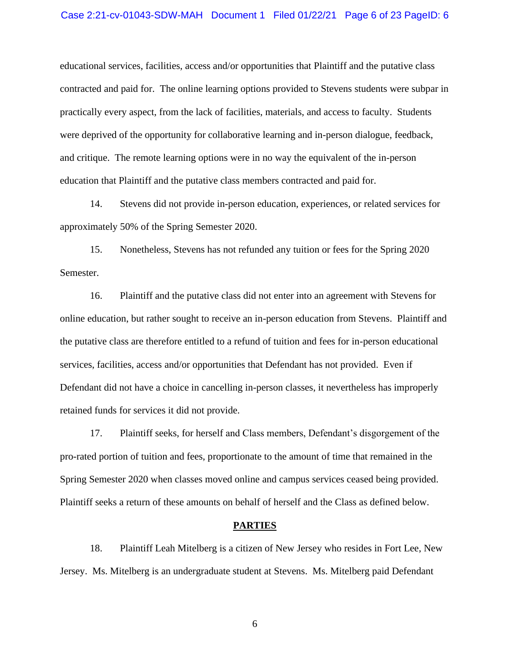#### Case 2:21-cv-01043-SDW-MAH Document 1 Filed 01/22/21 Page 6 of 23 PageID: 6

educational services, facilities, access and/or opportunities that Plaintiff and the putative class contracted and paid for. The online learning options provided to Stevens students were subpar in practically every aspect, from the lack of facilities, materials, and access to faculty. Students were deprived of the opportunity for collaborative learning and in-person dialogue, feedback, and critique. The remote learning options were in no way the equivalent of the in-person education that Plaintiff and the putative class members contracted and paid for.

14. Stevens did not provide in-person education, experiences, or related services for approximately 50% of the Spring Semester 2020.

15. Nonetheless, Stevens has not refunded any tuition or fees for the Spring 2020 Semester.

16. Plaintiff and the putative class did not enter into an agreement with Stevens for online education, but rather sought to receive an in-person education from Stevens. Plaintiff and the putative class are therefore entitled to a refund of tuition and fees for in-person educational services, facilities, access and/or opportunities that Defendant has not provided. Even if Defendant did not have a choice in cancelling in-person classes, it nevertheless has improperly retained funds for services it did not provide.

17. Plaintiff seeks, for herself and Class members, Defendant's disgorgement of the pro-rated portion of tuition and fees, proportionate to the amount of time that remained in the Spring Semester 2020 when classes moved online and campus services ceased being provided. Plaintiff seeks a return of these amounts on behalf of herself and the Class as defined below.

#### **PARTIES**

18. Plaintiff Leah Mitelberg is a citizen of New Jersey who resides in Fort Lee, New Jersey. Ms. Mitelberg is an undergraduate student at Stevens. Ms. Mitelberg paid Defendant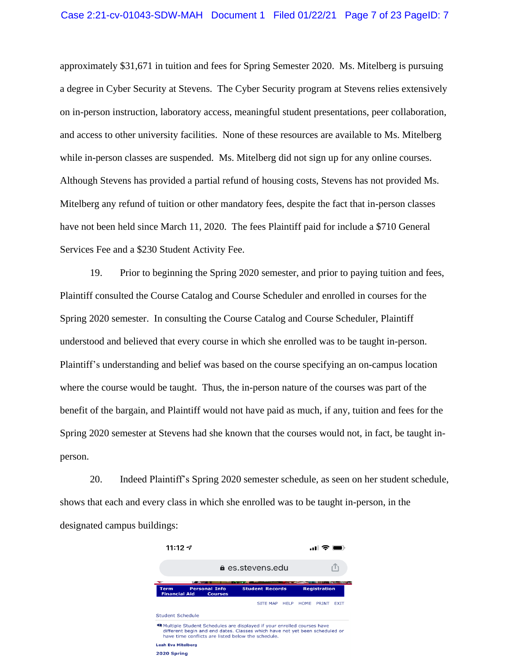approximately \$31,671 in tuition and fees for Spring Semester 2020. Ms. Mitelberg is pursuing a degree in Cyber Security at Stevens. The Cyber Security program at Stevens relies extensively on in-person instruction, laboratory access, meaningful student presentations, peer collaboration, and access to other university facilities. None of these resources are available to Ms. Mitelberg while in-person classes are suspended. Ms. Mitelberg did not sign up for any online courses. Although Stevens has provided a partial refund of housing costs, Stevens has not provided Ms. Mitelberg any refund of tuition or other mandatory fees, despite the fact that in-person classes have not been held since March 11, 2020. The fees Plaintiff paid for include a \$710 General Services Fee and a \$230 Student Activity Fee.

19. Prior to beginning the Spring 2020 semester, and prior to paying tuition and fees, Plaintiff consulted the Course Catalog and Course Scheduler and enrolled in courses for the Spring 2020 semester. In consulting the Course Catalog and Course Scheduler, Plaintiff understood and believed that every course in which she enrolled was to be taught in-person. Plaintiff's understanding and belief was based on the course specifying an on-campus location where the course would be taught. Thus, the in-person nature of the courses was part of the benefit of the bargain, and Plaintiff would not have paid as much, if any, tuition and fees for the Spring 2020 semester at Stevens had she known that the courses would not, in fact, be taught inperson.

20. Indeed Plaintiff's Spring 2020 semester schedule, as seen on her student schedule, shows that each and every class in which she enrolled was to be taught in-person, in the designated campus buildings:

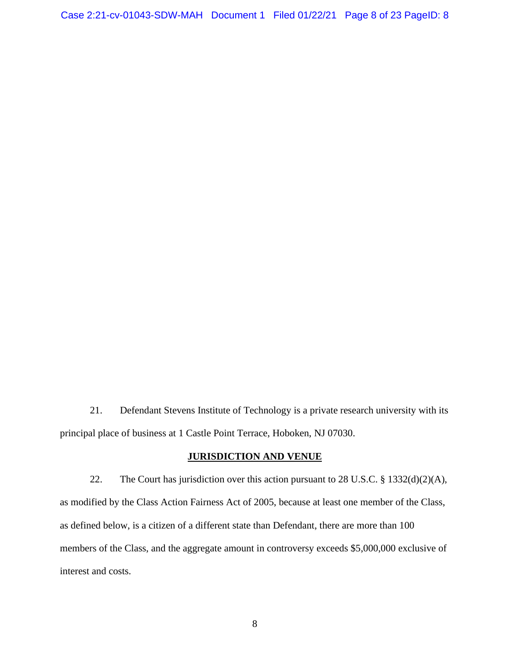21. Defendant Stevens Institute of Technology is a private research university with its principal place of business at 1 Castle Point Terrace, Hoboken, NJ 07030.

# **JURISDICTION AND VENUE**

22. The Court has jurisdiction over this action pursuant to 28 U.S.C. § 1332(d)(2)(A), as modified by the Class Action Fairness Act of 2005, because at least one member of the Class, as defined below, is a citizen of a different state than Defendant, there are more than 100 members of the Class, and the aggregate amount in controversy exceeds \$5,000,000 exclusive of interest and costs.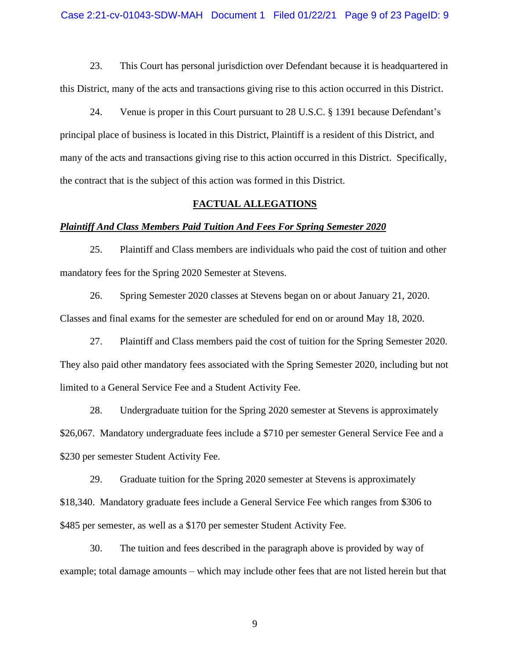23. This Court has personal jurisdiction over Defendant because it is headquartered in this District, many of the acts and transactions giving rise to this action occurred in this District.

24. Venue is proper in this Court pursuant to 28 U.S.C. § 1391 because Defendant's principal place of business is located in this District, Plaintiff is a resident of this District, and many of the acts and transactions giving rise to this action occurred in this District. Specifically, the contract that is the subject of this action was formed in this District.

## **FACTUAL ALLEGATIONS**

#### *Plaintiff And Class Members Paid Tuition And Fees For Spring Semester 2020*

25. Plaintiff and Class members are individuals who paid the cost of tuition and other mandatory fees for the Spring 2020 Semester at Stevens.

26. Spring Semester 2020 classes at Stevens began on or about January 21, 2020. Classes and final exams for the semester are scheduled for end on or around May 18, 2020.

27. Plaintiff and Class members paid the cost of tuition for the Spring Semester 2020. They also paid other mandatory fees associated with the Spring Semester 2020, including but not limited to a General Service Fee and a Student Activity Fee.

28. Undergraduate tuition for the Spring 2020 semester at Stevens is approximately \$26,067. Mandatory undergraduate fees include a \$710 per semester General Service Fee and a \$230 per semester Student Activity Fee.

29. Graduate tuition for the Spring 2020 semester at Stevens is approximately \$18,340. Mandatory graduate fees include a General Service Fee which ranges from \$306 to \$485 per semester, as well as a \$170 per semester Student Activity Fee.

30. The tuition and fees described in the paragraph above is provided by way of example; total damage amounts – which may include other fees that are not listed herein but that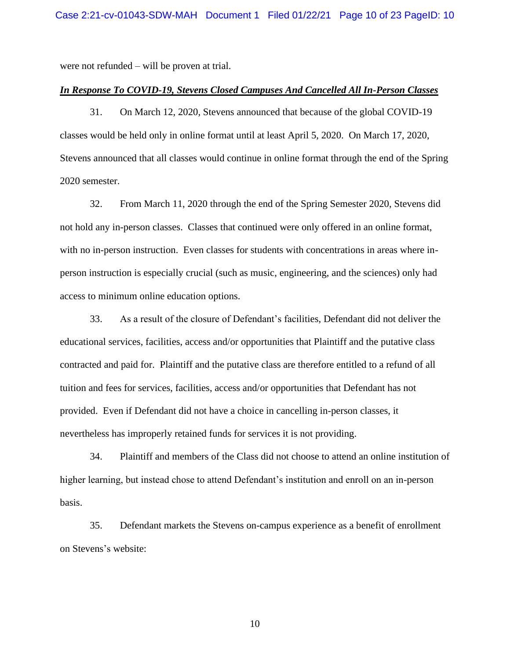were not refunded – will be proven at trial.

#### *In Response To COVID-19, Stevens Closed Campuses And Cancelled All In-Person Classes*

31. On March 12, 2020, Stevens announced that because of the global COVID-19 classes would be held only in online format until at least April 5, 2020. On March 17, 2020, Stevens announced that all classes would continue in online format through the end of the Spring 2020 semester.

32. From March 11, 2020 through the end of the Spring Semester 2020, Stevens did not hold any in-person classes. Classes that continued were only offered in an online format, with no in-person instruction. Even classes for students with concentrations in areas where inperson instruction is especially crucial (such as music, engineering, and the sciences) only had access to minimum online education options.

33. As a result of the closure of Defendant's facilities, Defendant did not deliver the educational services, facilities, access and/or opportunities that Plaintiff and the putative class contracted and paid for. Plaintiff and the putative class are therefore entitled to a refund of all tuition and fees for services, facilities, access and/or opportunities that Defendant has not provided. Even if Defendant did not have a choice in cancelling in-person classes, it nevertheless has improperly retained funds for services it is not providing.

34. Plaintiff and members of the Class did not choose to attend an online institution of higher learning, but instead chose to attend Defendant's institution and enroll on an in-person basis.

35. Defendant markets the Stevens on-campus experience as a benefit of enrollment on Stevens's website: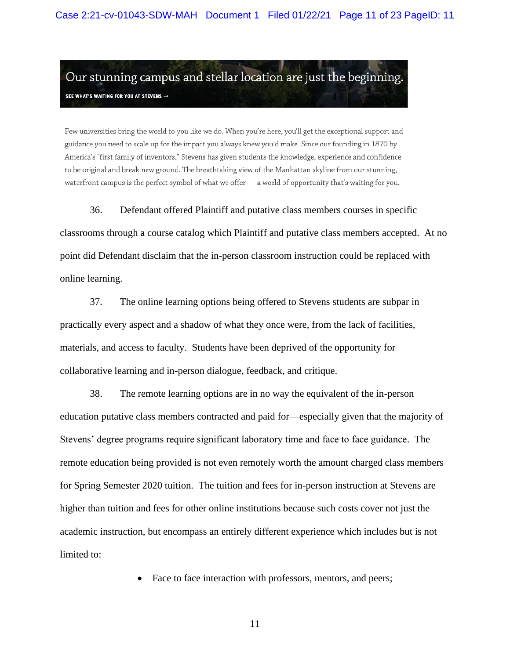Our stunning campus and stellar location are just the beginning. SEE WHAT'S WAITING FOR YOU AT STEVENS  $\rightarrow$ 

Few universities bring the world to you like we do. When you're here, you'll get the exceptional support and guidance you need to scale up for the impact you always knew you'd make. Since our founding in 1870 by America's "first family of inventors," Stevens has given students the knowledge, experience and confidence to be original and break new ground. The breathtaking view of the Manhattan skyline from our stunning, waterfront campus is the perfect symbol of what we offer - a world of opportunity that's waiting for you.

36. Defendant offered Plaintiff and putative class members courses in specific

classrooms through a course catalog which Plaintiff and putative class members accepted. At no point did Defendant disclaim that the in-person classroom instruction could be replaced with online learning.

37. The online learning options being offered to Stevens students are subpar in practically every aspect and a shadow of what they once were, from the lack of facilities, materials, and access to faculty. Students have been deprived of the opportunity for collaborative learning and in-person dialogue, feedback, and critique.

38. The remote learning options are in no way the equivalent of the in-person education putative class members contracted and paid for—especially given that the majority of Stevens' degree programs require significant laboratory time and face to face guidance. The remote education being provided is not even remotely worth the amount charged class members for Spring Semester 2020 tuition. The tuition and fees for in-person instruction at Stevens are higher than tuition and fees for other online institutions because such costs cover not just the academic instruction, but encompass an entirely different experience which includes but is not limited to:

• Face to face interaction with professors, mentors, and peers;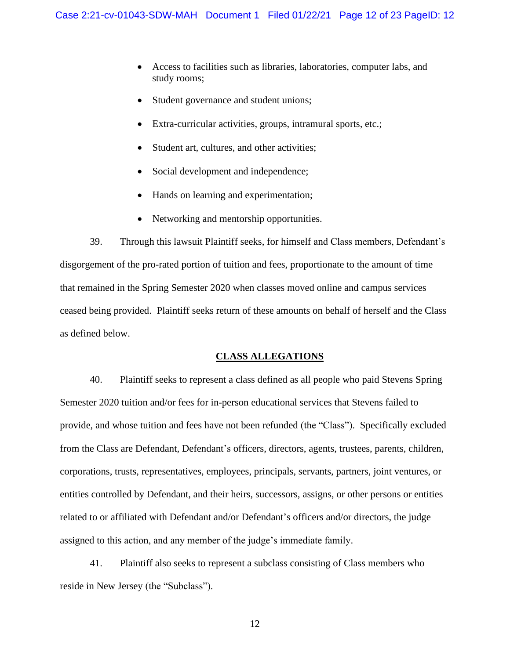- Access to facilities such as libraries, laboratories, computer labs, and study rooms;
- Student governance and student unions;
- Extra-curricular activities, groups, intramural sports, etc.;
- Student art, cultures, and other activities;
- Social development and independence;
- Hands on learning and experimentation;
- Networking and mentorship opportunities.

39. Through this lawsuit Plaintiff seeks, for himself and Class members, Defendant's disgorgement of the pro-rated portion of tuition and fees, proportionate to the amount of time that remained in the Spring Semester 2020 when classes moved online and campus services ceased being provided. Plaintiff seeks return of these amounts on behalf of herself and the Class as defined below.

#### **CLASS ALLEGATIONS**

40. Plaintiff seeks to represent a class defined as all people who paid Stevens Spring Semester 2020 tuition and/or fees for in-person educational services that Stevens failed to provide, and whose tuition and fees have not been refunded (the "Class"). Specifically excluded from the Class are Defendant, Defendant's officers, directors, agents, trustees, parents, children, corporations, trusts, representatives, employees, principals, servants, partners, joint ventures, or entities controlled by Defendant, and their heirs, successors, assigns, or other persons or entities related to or affiliated with Defendant and/or Defendant's officers and/or directors, the judge assigned to this action, and any member of the judge's immediate family.

41. Plaintiff also seeks to represent a subclass consisting of Class members who reside in New Jersey (the "Subclass").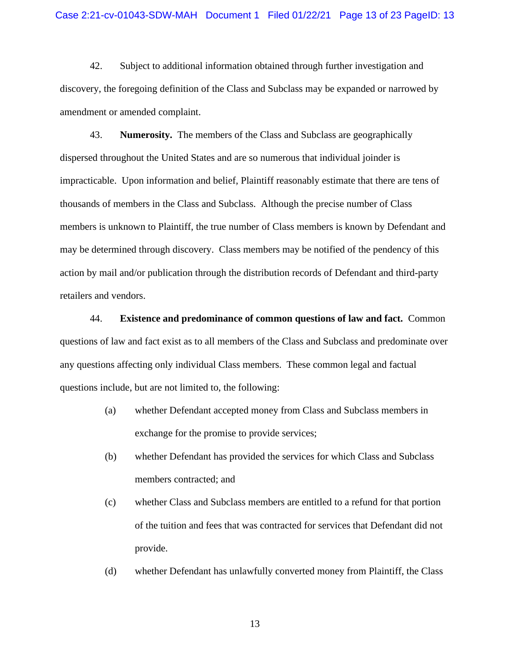42. Subject to additional information obtained through further investigation and discovery, the foregoing definition of the Class and Subclass may be expanded or narrowed by amendment or amended complaint.

43. **Numerosity.** The members of the Class and Subclass are geographically dispersed throughout the United States and are so numerous that individual joinder is impracticable. Upon information and belief, Plaintiff reasonably estimate that there are tens of thousands of members in the Class and Subclass. Although the precise number of Class members is unknown to Plaintiff, the true number of Class members is known by Defendant and may be determined through discovery. Class members may be notified of the pendency of this action by mail and/or publication through the distribution records of Defendant and third-party retailers and vendors.

44. **Existence and predominance of common questions of law and fact.** Common questions of law and fact exist as to all members of the Class and Subclass and predominate over any questions affecting only individual Class members. These common legal and factual questions include, but are not limited to, the following:

- (a) whether Defendant accepted money from Class and Subclass members in exchange for the promise to provide services;
- (b) whether Defendant has provided the services for which Class and Subclass members contracted; and
- (c) whether Class and Subclass members are entitled to a refund for that portion of the tuition and fees that was contracted for services that Defendant did not provide.
- (d) whether Defendant has unlawfully converted money from Plaintiff, the Class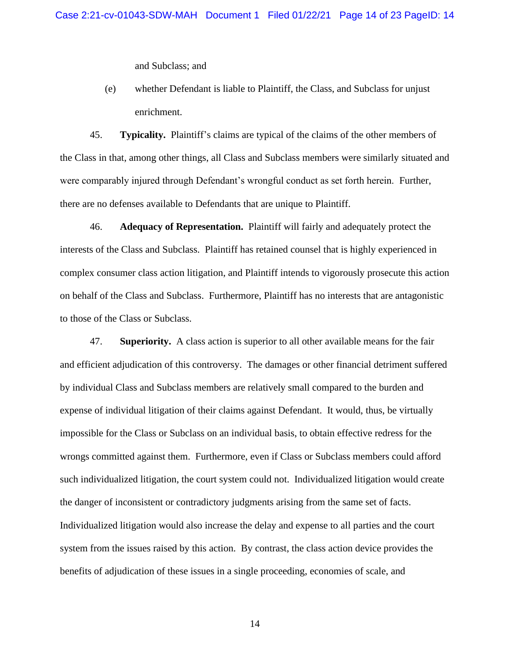and Subclass; and

(e) whether Defendant is liable to Plaintiff, the Class, and Subclass for unjust enrichment.

45. **Typicality.** Plaintiff's claims are typical of the claims of the other members of the Class in that, among other things, all Class and Subclass members were similarly situated and were comparably injured through Defendant's wrongful conduct as set forth herein. Further, there are no defenses available to Defendants that are unique to Plaintiff.

46. **Adequacy of Representation.** Plaintiff will fairly and adequately protect the interests of the Class and Subclass. Plaintiff has retained counsel that is highly experienced in complex consumer class action litigation, and Plaintiff intends to vigorously prosecute this action on behalf of the Class and Subclass. Furthermore, Plaintiff has no interests that are antagonistic to those of the Class or Subclass.

47. **Superiority.** A class action is superior to all other available means for the fair and efficient adjudication of this controversy. The damages or other financial detriment suffered by individual Class and Subclass members are relatively small compared to the burden and expense of individual litigation of their claims against Defendant. It would, thus, be virtually impossible for the Class or Subclass on an individual basis, to obtain effective redress for the wrongs committed against them. Furthermore, even if Class or Subclass members could afford such individualized litigation, the court system could not. Individualized litigation would create the danger of inconsistent or contradictory judgments arising from the same set of facts. Individualized litigation would also increase the delay and expense to all parties and the court system from the issues raised by this action. By contrast, the class action device provides the benefits of adjudication of these issues in a single proceeding, economies of scale, and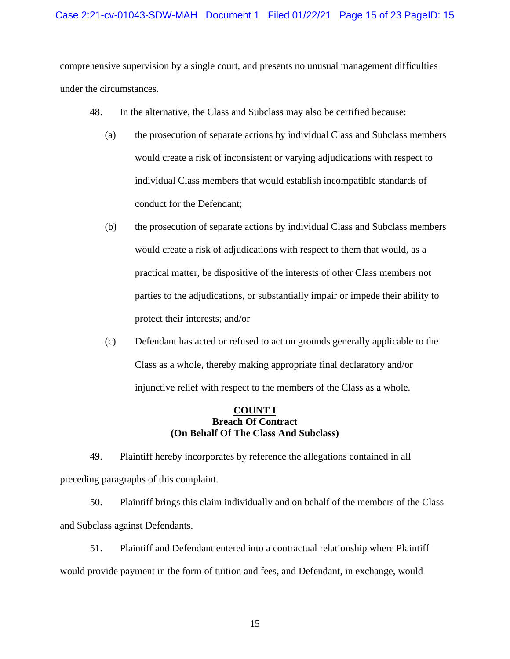# Case 2:21-cv-01043-SDW-MAH Document 1 Filed 01/22/21 Page 15 of 23 PageID: 15

comprehensive supervision by a single court, and presents no unusual management difficulties under the circumstances.

- 48. In the alternative, the Class and Subclass may also be certified because:
	- (a) the prosecution of separate actions by individual Class and Subclass members would create a risk of inconsistent or varying adjudications with respect to individual Class members that would establish incompatible standards of conduct for the Defendant;
	- (b) the prosecution of separate actions by individual Class and Subclass members would create a risk of adjudications with respect to them that would, as a practical matter, be dispositive of the interests of other Class members not parties to the adjudications, or substantially impair or impede their ability to protect their interests; and/or
	- (c) Defendant has acted or refused to act on grounds generally applicable to the Class as a whole, thereby making appropriate final declaratory and/or injunctive relief with respect to the members of the Class as a whole.

## **COUNT I Breach Of Contract (On Behalf Of The Class And Subclass)**

49. Plaintiff hereby incorporates by reference the allegations contained in all preceding paragraphs of this complaint.

50. Plaintiff brings this claim individually and on behalf of the members of the Class and Subclass against Defendants.

51. Plaintiff and Defendant entered into a contractual relationship where Plaintiff would provide payment in the form of tuition and fees, and Defendant, in exchange, would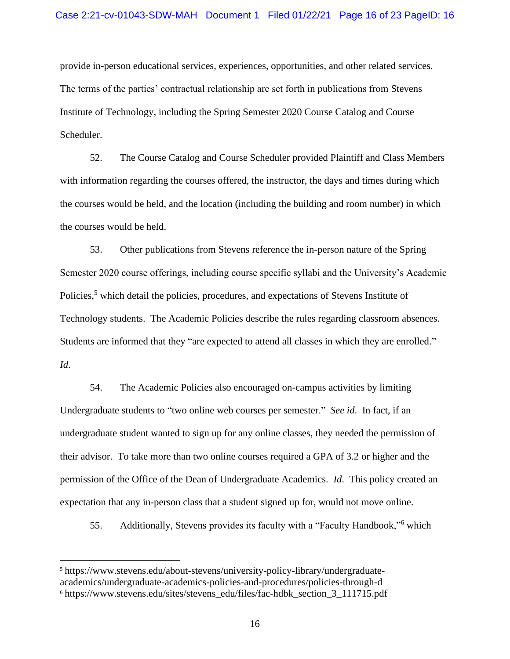provide in-person educational services, experiences, opportunities, and other related services. The terms of the parties' contractual relationship are set forth in publications from Stevens Institute of Technology, including the Spring Semester 2020 Course Catalog and Course Scheduler.

52. The Course Catalog and Course Scheduler provided Plaintiff and Class Members with information regarding the courses offered, the instructor, the days and times during which the courses would be held, and the location (including the building and room number) in which the courses would be held.

53. Other publications from Stevens reference the in-person nature of the Spring Semester 2020 course offerings, including course specific syllabi and the University's Academic Policies,<sup>5</sup> which detail the policies, procedures, and expectations of Stevens Institute of Technology students. The Academic Policies describe the rules regarding classroom absences. Students are informed that they "are expected to attend all classes in which they are enrolled." *Id*.

54. The Academic Policies also encouraged on-campus activities by limiting Undergraduate students to "two online web courses per semester." *See id*. In fact, if an undergraduate student wanted to sign up for any online classes, they needed the permission of their advisor. To take more than two online courses required a GPA of 3.2 or higher and the permission of the Office of the Dean of Undergraduate Academics. *Id*. This policy created an expectation that any in-person class that a student signed up for, would not move online.

55. Additionally, Stevens provides its faculty with a "Faculty Handbook,"<sup>6</sup> which

<sup>5</sup> [https://www.stevens.edu/about-stevens/university-policy-library/undergraduate](https://www.stevens.edu/about-stevens/university-policy-library/undergraduate-academics/undergraduate-academics-policies-and-procedures/policies-through-d)[academics/undergraduate-academics-policies-and-procedures/policies-through-d](https://www.stevens.edu/about-stevens/university-policy-library/undergraduate-academics/undergraduate-academics-policies-and-procedures/policies-through-d) <sup>6</sup> [https://www.stevens.edu/sites/stevens\\_edu/files/fac-hdbk\\_section\\_3\\_111715.pdf](https://www.stevens.edu/sites/stevens_edu/files/fac-hdbk_section_3_111715.pdf)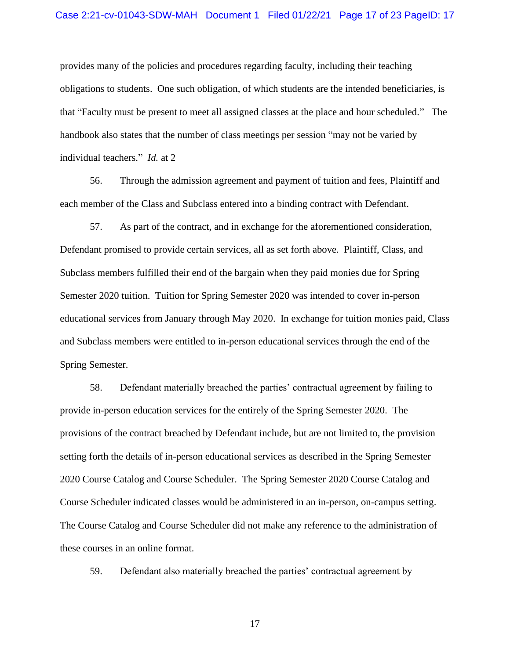#### Case 2:21-cv-01043-SDW-MAH Document 1 Filed 01/22/21 Page 17 of 23 PageID: 17

provides many of the policies and procedures regarding faculty, including their teaching obligations to students. One such obligation, of which students are the intended beneficiaries, is that "Faculty must be present to meet all assigned classes at the place and hour scheduled." The handbook also states that the number of class meetings per session "may not be varied by individual teachers." *Id.* at 2

56. Through the admission agreement and payment of tuition and fees, Plaintiff and each member of the Class and Subclass entered into a binding contract with Defendant.

57. As part of the contract, and in exchange for the aforementioned consideration, Defendant promised to provide certain services, all as set forth above. Plaintiff, Class, and Subclass members fulfilled their end of the bargain when they paid monies due for Spring Semester 2020 tuition. Tuition for Spring Semester 2020 was intended to cover in-person educational services from January through May 2020. In exchange for tuition monies paid, Class and Subclass members were entitled to in-person educational services through the end of the Spring Semester.

58. Defendant materially breached the parties' contractual agreement by failing to provide in-person education services for the entirely of the Spring Semester 2020. The provisions of the contract breached by Defendant include, but are not limited to, the provision setting forth the details of in-person educational services as described in the Spring Semester 2020 Course Catalog and Course Scheduler. The Spring Semester 2020 Course Catalog and Course Scheduler indicated classes would be administered in an in-person, on-campus setting. The Course Catalog and Course Scheduler did not make any reference to the administration of these courses in an online format.

59. Defendant also materially breached the parties' contractual agreement by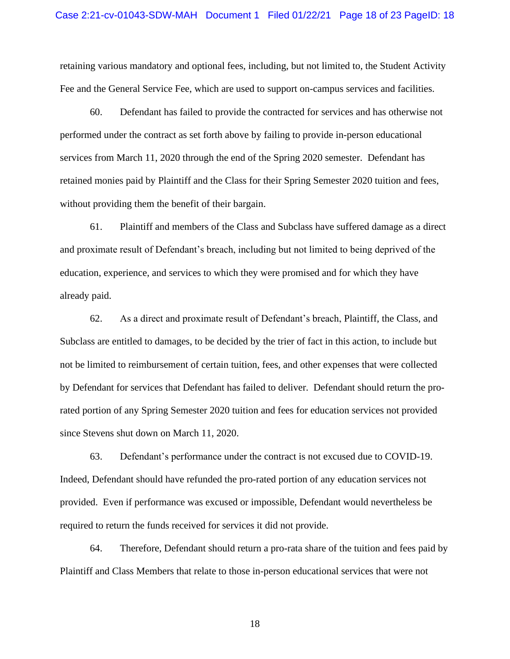retaining various mandatory and optional fees, including, but not limited to, the Student Activity Fee and the General Service Fee, which are used to support on-campus services and facilities.

60. Defendant has failed to provide the contracted for services and has otherwise not performed under the contract as set forth above by failing to provide in-person educational services from March 11, 2020 through the end of the Spring 2020 semester. Defendant has retained monies paid by Plaintiff and the Class for their Spring Semester 2020 tuition and fees, without providing them the benefit of their bargain.

61. Plaintiff and members of the Class and Subclass have suffered damage as a direct and proximate result of Defendant's breach, including but not limited to being deprived of the education, experience, and services to which they were promised and for which they have already paid.

62. As a direct and proximate result of Defendant's breach, Plaintiff, the Class, and Subclass are entitled to damages, to be decided by the trier of fact in this action, to include but not be limited to reimbursement of certain tuition, fees, and other expenses that were collected by Defendant for services that Defendant has failed to deliver. Defendant should return the prorated portion of any Spring Semester 2020 tuition and fees for education services not provided since Stevens shut down on March 11, 2020.

63. Defendant's performance under the contract is not excused due to COVID-19. Indeed, Defendant should have refunded the pro-rated portion of any education services not provided. Even if performance was excused or impossible, Defendant would nevertheless be required to return the funds received for services it did not provide.

64. Therefore, Defendant should return a pro-rata share of the tuition and fees paid by Plaintiff and Class Members that relate to those in-person educational services that were not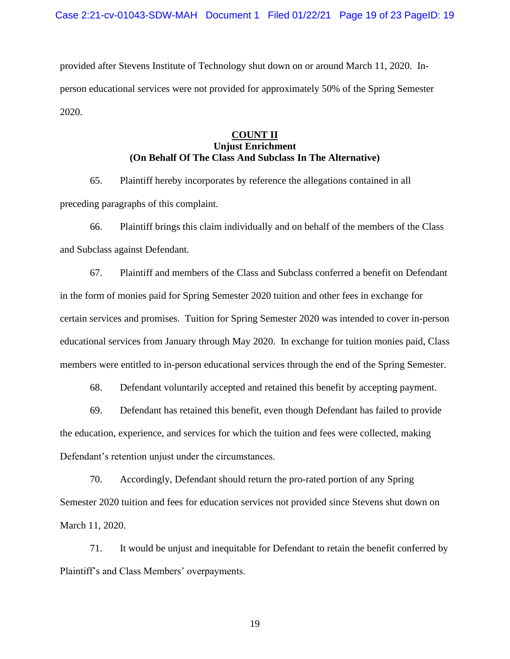provided after Stevens Institute of Technology shut down on or around March 11, 2020. Inperson educational services were not provided for approximately 50% of the Spring Semester 2020.

# **COUNT II Unjust Enrichment (On Behalf Of The Class And Subclass In The Alternative)**

65. Plaintiff hereby incorporates by reference the allegations contained in all preceding paragraphs of this complaint.

66. Plaintiff brings this claim individually and on behalf of the members of the Class and Subclass against Defendant.

67. Plaintiff and members of the Class and Subclass conferred a benefit on Defendant in the form of monies paid for Spring Semester 2020 tuition and other fees in exchange for certain services and promises. Tuition for Spring Semester 2020 was intended to cover in-person educational services from January through May 2020. In exchange for tuition monies paid, Class members were entitled to in-person educational services through the end of the Spring Semester.

68. Defendant voluntarily accepted and retained this benefit by accepting payment.

69. Defendant has retained this benefit, even though Defendant has failed to provide the education, experience, and services for which the tuition and fees were collected, making Defendant's retention unjust under the circumstances.

70. Accordingly, Defendant should return the pro-rated portion of any Spring Semester 2020 tuition and fees for education services not provided since Stevens shut down on March 11, 2020.

71. It would be unjust and inequitable for Defendant to retain the benefit conferred by Plaintiff's and Class Members' overpayments.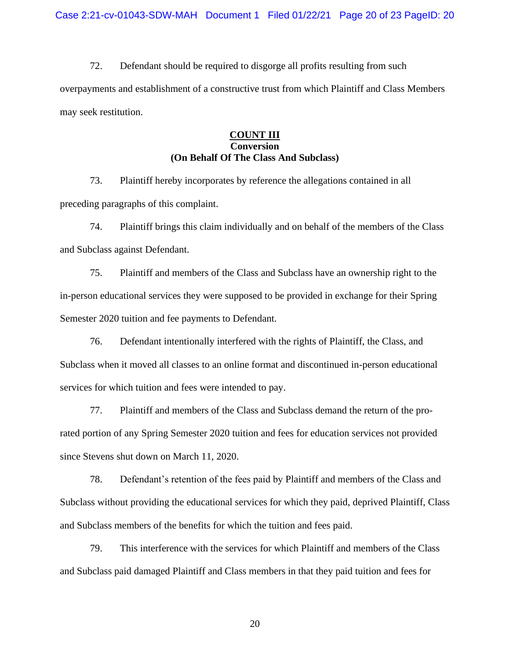72. Defendant should be required to disgorge all profits resulting from such overpayments and establishment of a constructive trust from which Plaintiff and Class Members may seek restitution.

# **COUNT III Conversion (On Behalf Of The Class And Subclass)**

73. Plaintiff hereby incorporates by reference the allegations contained in all preceding paragraphs of this complaint.

74. Plaintiff brings this claim individually and on behalf of the members of the Class and Subclass against Defendant.

75. Plaintiff and members of the Class and Subclass have an ownership right to the in-person educational services they were supposed to be provided in exchange for their Spring Semester 2020 tuition and fee payments to Defendant.

76. Defendant intentionally interfered with the rights of Plaintiff, the Class, and Subclass when it moved all classes to an online format and discontinued in-person educational services for which tuition and fees were intended to pay.

77. Plaintiff and members of the Class and Subclass demand the return of the prorated portion of any Spring Semester 2020 tuition and fees for education services not provided since Stevens shut down on March 11, 2020.

78. Defendant's retention of the fees paid by Plaintiff and members of the Class and Subclass without providing the educational services for which they paid, deprived Plaintiff, Class and Subclass members of the benefits for which the tuition and fees paid.

79. This interference with the services for which Plaintiff and members of the Class and Subclass paid damaged Plaintiff and Class members in that they paid tuition and fees for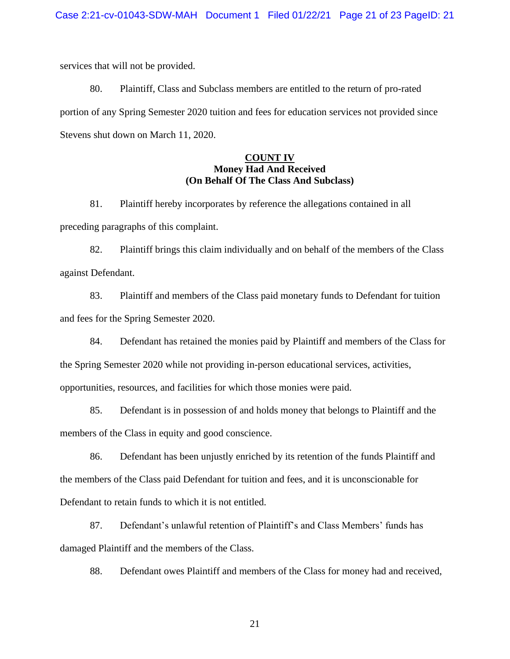services that will not be provided.

80. Plaintiff, Class and Subclass members are entitled to the return of pro-rated portion of any Spring Semester 2020 tuition and fees for education services not provided since Stevens shut down on March 11, 2020.

# **COUNT IV Money Had And Received (On Behalf Of The Class And Subclass)**

81. Plaintiff hereby incorporates by reference the allegations contained in all preceding paragraphs of this complaint.

82. Plaintiff brings this claim individually and on behalf of the members of the Class against Defendant.

83. Plaintiff and members of the Class paid monetary funds to Defendant for tuition and fees for the Spring Semester 2020.

84. Defendant has retained the monies paid by Plaintiff and members of the Class for the Spring Semester 2020 while not providing in-person educational services, activities, opportunities, resources, and facilities for which those monies were paid.

85. Defendant is in possession of and holds money that belongs to Plaintiff and the members of the Class in equity and good conscience.

86. Defendant has been unjustly enriched by its retention of the funds Plaintiff and the members of the Class paid Defendant for tuition and fees, and it is unconscionable for Defendant to retain funds to which it is not entitled.

87. Defendant's unlawful retention of Plaintiff's and Class Members' funds has damaged Plaintiff and the members of the Class.

88. Defendant owes Plaintiff and members of the Class for money had and received,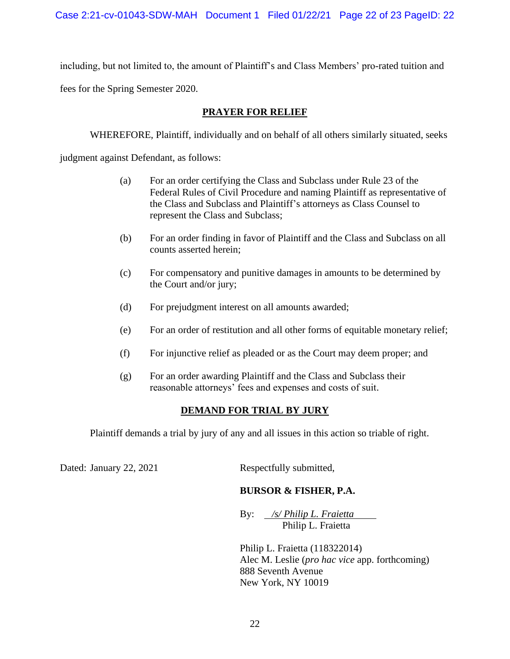including, but not limited to, the amount of Plaintiff's and Class Members' pro-rated tuition and

fees for the Spring Semester 2020.

# **PRAYER FOR RELIEF**

WHEREFORE, Plaintiff, individually and on behalf of all others similarly situated, seeks

judgment against Defendant, as follows:

- (a) For an order certifying the Class and Subclass under Rule 23 of the Federal Rules of Civil Procedure and naming Plaintiff as representative of the Class and Subclass and Plaintiff's attorneys as Class Counsel to represent the Class and Subclass;
- (b) For an order finding in favor of Plaintiff and the Class and Subclass on all counts asserted herein;
- (c) For compensatory and punitive damages in amounts to be determined by the Court and/or jury;
- (d) For prejudgment interest on all amounts awarded;
- (e) For an order of restitution and all other forms of equitable monetary relief;
- (f) For injunctive relief as pleaded or as the Court may deem proper; and
- (g) For an order awarding Plaintiff and the Class and Subclass their reasonable attorneys' fees and expenses and costs of suit.

# **DEMAND FOR TRIAL BY JURY**

Plaintiff demands a trial by jury of any and all issues in this action so triable of right.

Dated: January 22, 2021 Respectfully submitted,

# **BURSOR & FISHER, P.A.**

By: */s/ Philip L. Fraietta* Philip L. Fraietta

Philip L. Fraietta (118322014) Alec M. Leslie (*pro hac vice* app. forthcoming) 888 Seventh Avenue New York, NY 10019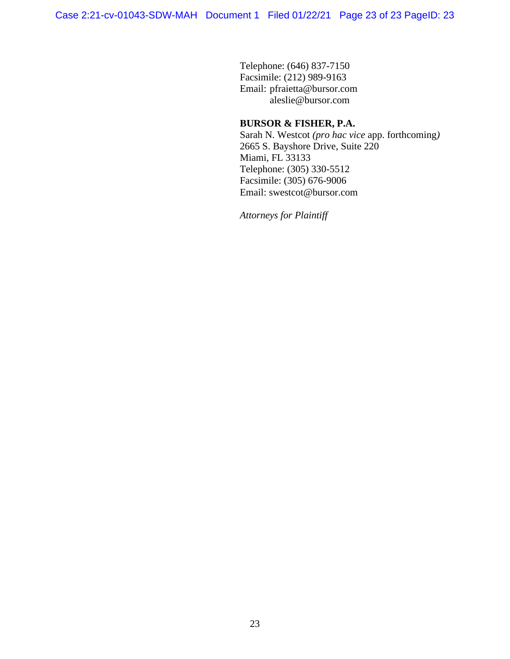Telephone: (646) 837-7150 Facsimile: (212) 989-9163 Email: pfraietta@bursor.com aleslie@bursor.com

# **BURSOR & FISHER, P.A.**

Sarah N. Westcot *(pro hac vice* app. forthcoming*)* 2665 S. Bayshore Drive, Suite 220 Miami, FL 33133 Telephone: (305) 330-5512 Facsimile: (305) 676-9006 Email: swestcot@bursor.com

*Attorneys for Plaintiff*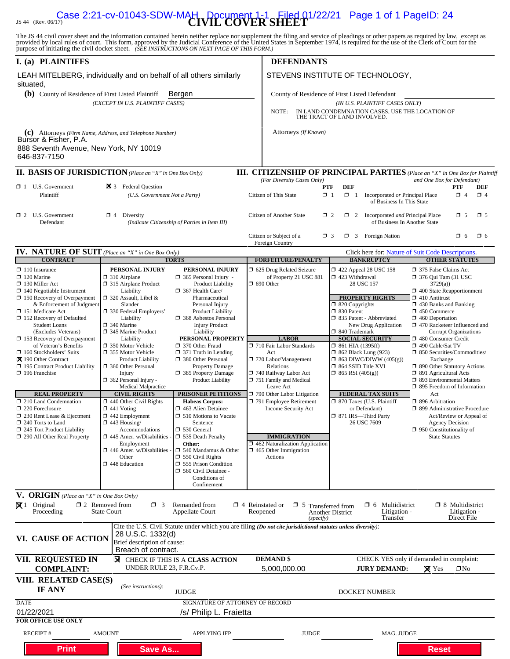# **Case 2:21-cv-01043-SDW-MAH** Document 1-1 Filed 01/22/21 Page 1 of 1 PageID: 24

The JS 44 civil cover sheet and the information contained herein neither replace nor supplement the filing and service of pleadings or other papers as required by law, except as provided by local rules of court. This form,

| I. (a) PLAINTIFFS                                                                                                                                                                            |                                                                                                                                                                                                                                                                                                                                                                                                                                                                                                                                         |                                                                                                                                                                               |                                                                                                                                                   | <b>DEFENDANTS</b>                                                                                              |                                                                                                                                      |                                                                                                                                                                                     |  |
|----------------------------------------------------------------------------------------------------------------------------------------------------------------------------------------------|-----------------------------------------------------------------------------------------------------------------------------------------------------------------------------------------------------------------------------------------------------------------------------------------------------------------------------------------------------------------------------------------------------------------------------------------------------------------------------------------------------------------------------------------|-------------------------------------------------------------------------------------------------------------------------------------------------------------------------------|---------------------------------------------------------------------------------------------------------------------------------------------------|----------------------------------------------------------------------------------------------------------------|--------------------------------------------------------------------------------------------------------------------------------------|-------------------------------------------------------------------------------------------------------------------------------------------------------------------------------------|--|
| LEAH MITELBERG, individually and on behalf of all others similarly<br>situated,                                                                                                              |                                                                                                                                                                                                                                                                                                                                                                                                                                                                                                                                         |                                                                                                                                                                               |                                                                                                                                                   |                                                                                                                | STEVENS INSTITUTE OF TECHNOLOGY,                                                                                                     |                                                                                                                                                                                     |  |
| (b) County of Residence of First Listed Plaintiff<br>Bergen                                                                                                                                  |                                                                                                                                                                                                                                                                                                                                                                                                                                                                                                                                         |                                                                                                                                                                               |                                                                                                                                                   | County of Residence of First Listed Defendant                                                                  |                                                                                                                                      |                                                                                                                                                                                     |  |
| (EXCEPT IN U.S. PLAINTIFF CASES)                                                                                                                                                             |                                                                                                                                                                                                                                                                                                                                                                                                                                                                                                                                         |                                                                                                                                                                               | (IN U.S. PLAINTIFF CASES ONLY)<br>IN LAND CONDEMNATION CASES, USE THE LOCATION OF THE TRACT OF LAND INVOLVED.<br>NOTE:                            |                                                                                                                |                                                                                                                                      |                                                                                                                                                                                     |  |
|                                                                                                                                                                                              |                                                                                                                                                                                                                                                                                                                                                                                                                                                                                                                                         |                                                                                                                                                                               |                                                                                                                                                   |                                                                                                                |                                                                                                                                      |                                                                                                                                                                                     |  |
| (c) Attorneys (Firm Name, Address, and Telephone Number)<br>Bursor & Fisher, P.A.<br>888 Seventh Avenue, New York, NY 10019<br>646-837-7150                                                  |                                                                                                                                                                                                                                                                                                                                                                                                                                                                                                                                         |                                                                                                                                                                               |                                                                                                                                                   | Attorneys (If Known)                                                                                           |                                                                                                                                      |                                                                                                                                                                                     |  |
| <b>II. BASIS OF JURISDICTION</b> (Place an "X" in One Box Only)                                                                                                                              |                                                                                                                                                                                                                                                                                                                                                                                                                                                                                                                                         |                                                                                                                                                                               |                                                                                                                                                   |                                                                                                                |                                                                                                                                      | <b>III. CITIZENSHIP OF PRINCIPAL PARTIES</b> (Place an "X" in One Box for Plaintiff                                                                                                 |  |
| $\Box$ 1 U.S. Government                                                                                                                                                                     | 25 3 Federal Question                                                                                                                                                                                                                                                                                                                                                                                                                                                                                                                   |                                                                                                                                                                               |                                                                                                                                                   | (For Diversity Cases Only)<br>PTF                                                                              | <b>DEF</b>                                                                                                                           | and One Box for Defendant)<br>PTF<br>DEF                                                                                                                                            |  |
| Plaintiff                                                                                                                                                                                    | (U.S. Government Not a Party)                                                                                                                                                                                                                                                                                                                                                                                                                                                                                                           |                                                                                                                                                                               |                                                                                                                                                   | Citizen of This State<br>$\Box$ 1                                                                              | $\Box$ 1<br>Incorporated or Principal Place<br>of Business In This State                                                             | $\Box$ 4<br>$\Box$ 4                                                                                                                                                                |  |
| $\Box$ 2 U.S. Government<br>Defendant                                                                                                                                                        | $\Box$ 4 Diversity<br>(Indicate Citizenship of Parties in Item III)                                                                                                                                                                                                                                                                                                                                                                                                                                                                     |                                                                                                                                                                               | $\square$ 5<br>Citizen of Another State<br>$\Box$ 2<br>1 2 Incorporated <i>and</i> Principal Place<br>$\square$ 5<br>of Business In Another State |                                                                                                                |                                                                                                                                      |                                                                                                                                                                                     |  |
|                                                                                                                                                                                              |                                                                                                                                                                                                                                                                                                                                                                                                                                                                                                                                         |                                                                                                                                                                               |                                                                                                                                                   | Citizen or Subject of a<br>$\Box$ 3<br>Foreign Country                                                         | $\Box$ 3 Foreign Nation                                                                                                              | $\square$ 6<br>$\Box$ 6                                                                                                                                                             |  |
| <b>IV. NATURE OF SUIT</b> (Place an "X" in One Box Only)                                                                                                                                     |                                                                                                                                                                                                                                                                                                                                                                                                                                                                                                                                         |                                                                                                                                                                               |                                                                                                                                                   |                                                                                                                |                                                                                                                                      | Click here for: Nature of Suit Code Descriptions.                                                                                                                                   |  |
| <b>CONTRACT</b><br>$\Box$ 110 Insurance                                                                                                                                                      | PERSONAL INJURY                                                                                                                                                                                                                                                                                                                                                                                                                                                                                                                         | <b>TORTS</b><br>PERSONAL INJURY                                                                                                                                               |                                                                                                                                                   | <b>FORFEITURE/PENALTY</b><br>5 625 Drug Related Seizure                                                        | <b>BANKRUPTCY</b><br>1422 Appeal 28 USC 158                                                                                          | <b>OTHER STATUTES</b><br>375 False Claims Act                                                                                                                                       |  |
| $\Box$ 120 Marine<br>□ 130 Miller Act<br>$\Box$ 140 Negotiable Instrument<br>□ 150 Recovery of Overpayment<br>& Enforcement of Judgment<br>□ 151 Medicare Act<br>□ 152 Recovery of Defaulted | $\Box$ 310 Airplane<br>□ 315 Airplane Product<br>Liability<br>□ 320 Assault, Libel &<br>Slander<br>□ 330 Federal Employers'<br>Liability                                                                                                                                                                                                                                                                                                                                                                                                | $\Box$ 365 Personal Injury -<br><b>Product Liability</b><br>367 Health Care/<br>Pharmaceutical<br>Personal Injury<br><b>Product Liability</b><br><b>368</b> Asbestos Personal |                                                                                                                                                   | of Property 21 USC 881<br>$\Box$ 690 Other                                                                     | $\Box$ 423 Withdrawal<br>28 USC 157<br><b>PROPERTY RIGHTS</b><br>$\Box$ 820 Copyrights<br>□ 830 Patent<br>□ 835 Patent - Abbreviated | $\Box$ 376 Qui Tam (31 USC)<br>3729(a)<br>$\Box$ 400 State Reapportionment<br>$\Box$ 410 Antitrust<br>$\Box$ 430 Banks and Banking<br>$\Box$ 450 Commerce<br>$\Box$ 460 Deportation |  |
| <b>Student Loans</b>                                                                                                                                                                         | $\square$ 340 Marine                                                                                                                                                                                                                                                                                                                                                                                                                                                                                                                    | <b>Injury Product</b>                                                                                                                                                         |                                                                                                                                                   |                                                                                                                | New Drug Application                                                                                                                 | 1 470 Racketeer Influenced and                                                                                                                                                      |  |
| (Excludes Veterans)                                                                                                                                                                          | □ 345 Marine Product                                                                                                                                                                                                                                                                                                                                                                                                                                                                                                                    | Liability                                                                                                                                                                     |                                                                                                                                                   |                                                                                                                | □ 840 Trademark                                                                                                                      | <b>Corrupt Organizations</b>                                                                                                                                                        |  |
| $\Box$ 153 Recovery of Overpayment<br>of Veteran's Benefits                                                                                                                                  | Liability<br>□ 350 Motor Vehicle                                                                                                                                                                                                                                                                                                                                                                                                                                                                                                        | PERSONAL PROPERTY<br>370 Other Fraud                                                                                                                                          |                                                                                                                                                   | <b>LABOR</b><br>710 Fair Labor Standards                                                                       | <b>SOCIAL SECURITY</b><br>$\Box$ 861 HIA (1395ff)                                                                                    | 480 Consumer Credit<br>□ 490 Cable/Sat TV                                                                                                                                           |  |
| □ 160 Stockholders' Suits                                                                                                                                                                    | □ 355 Motor Vehicle                                                                                                                                                                                                                                                                                                                                                                                                                                                                                                                     | $\Box$ 371 Truth in Lending                                                                                                                                                   |                                                                                                                                                   | Act                                                                                                            | <b>1 862 Black Lung (923)</b>                                                                                                        | □ 850 Securities/Commodities/                                                                                                                                                       |  |
| 又 190 Other Contract<br>□ 195 Contract Product Liability                                                                                                                                     | <b>Product Liability</b><br>360 Other Personal                                                                                                                                                                                                                                                                                                                                                                                                                                                                                          | 380 Other Personal<br><b>Property Damage</b>                                                                                                                                  |                                                                                                                                                   | 720 Labor/Management<br>Relations                                                                              | $\Box$ 863 DIWC/DIWW (405(g))<br>$\Box$ 864 SSID Title XVI                                                                           | Exchange<br>1 890 Other Statutory Actions                                                                                                                                           |  |
| $\Box$ 196 Franchise                                                                                                                                                                         | Injury<br>$\Box$ 362 Personal Injury -<br><b>Medical Malpractice</b>                                                                                                                                                                                                                                                                                                                                                                                                                                                                    | □ 385 Property Damage<br>Product Liability                                                                                                                                    |                                                                                                                                                   | 740 Railway Labor Act<br>751 Family and Medical<br>Leave Act                                                   | $\Box$ 865 RSI (405(g))                                                                                                              | □ 891 Agricultural Acts<br>□ 893 Environmental Matters<br>$\Box$ 895 Freedom of Information                                                                                         |  |
| <b>REAL PROPERTY</b>                                                                                                                                                                         | <b>CIVIL RIGHTS</b>                                                                                                                                                                                                                                                                                                                                                                                                                                                                                                                     | <b>PRISONER PETITIONS</b>                                                                                                                                                     |                                                                                                                                                   | $\Box$ 790 Other Labor Litigation                                                                              | <b>FEDERAL TAX SUITS</b>                                                                                                             | Act                                                                                                                                                                                 |  |
| 210 Land Condemnation<br>$\Box$ 220 Foreclosure<br>230 Rent Lease & Ejectment<br>$\Box$ 240 Torts to Land<br>245 Tort Product Liability<br>290 All Other Real Property                       | $\Box$ 440 Other Civil Rights<br><b>Habeas Corpus:</b><br>463 Alien Detainee<br>$\Box$ 441 Voting<br>$\Box$ 442 Employment<br><b>J</b> 510 Motions to Vacate<br>$\Box$ 443 Housing/<br>Sentence<br>$\Box$ 530 General<br>Accommodations<br>$\Box$ 445 Amer. w/Disabilities<br>535 Death Penalty<br>Other:<br>Employment<br>$\Box$ 446 Amer. w/Disabilities<br>$\Box$ 540 Mandamus & Other<br>Other<br>$\Box$ 550 Civil Rights<br><b>355 Prison Condition</b><br>□ 448 Education<br>560 Civil Detainee -<br>Conditions of<br>Confinement |                                                                                                                                                                               |                                                                                                                                                   | 791 Employee Retirement<br>Income Security Act<br><b>IMMIGRATION</b>                                           | □ 870 Taxes (U.S. Plaintiff<br>or Defendant)<br>□ 871 IRS-Third Party<br>26 USC 7609                                                 | □ 896 Arbitration<br>□ 899 Administrative Procedure<br>Act/Review or Appeal of<br>Agency Decision<br>$\Box$ 950 Constitutionality of<br><b>State Statutes</b>                       |  |
|                                                                                                                                                                                              |                                                                                                                                                                                                                                                                                                                                                                                                                                                                                                                                         |                                                                                                                                                                               |                                                                                                                                                   | 1462 Naturalization Application<br>$\Box$ 465 Other Immigration<br>Actions                                     |                                                                                                                                      |                                                                                                                                                                                     |  |
| V. ORIGIN (Place an "X" in One Box Only)                                                                                                                                                     |                                                                                                                                                                                                                                                                                                                                                                                                                                                                                                                                         |                                                                                                                                                                               |                                                                                                                                                   |                                                                                                                |                                                                                                                                      |                                                                                                                                                                                     |  |
| $\boxtimes$ 1 Original<br>Proceeding                                                                                                                                                         | $\Box$ 2 Removed from<br>$\Box$ 3<br><b>State Court</b>                                                                                                                                                                                                                                                                                                                                                                                                                                                                                 | Remanded from<br><b>Appellate Court</b>                                                                                                                                       |                                                                                                                                                   | $\Box$ 4 Reinstated or<br>$\Box$ 5 Transferred from<br>Reopened<br>(specify)                                   | $\Box$ 6 Multidistrict<br>Litigation -<br>Another District<br>Transfer                                                               | $\Box$ 8 Multidistrict<br>Litigation -<br>Direct File                                                                                                                               |  |
| VI. CAUSE OF ACTION                                                                                                                                                                          | <u>28 U.S.C. 1332(d)</u>                                                                                                                                                                                                                                                                                                                                                                                                                                                                                                                |                                                                                                                                                                               |                                                                                                                                                   | Cite the U.S. Civil Statute under which you are filing (Do not cite jurisdictional statutes unless diversity): |                                                                                                                                      |                                                                                                                                                                                     |  |
|                                                                                                                                                                                              | Brief description of cause:<br>Breach of contract.                                                                                                                                                                                                                                                                                                                                                                                                                                                                                      |                                                                                                                                                                               |                                                                                                                                                   |                                                                                                                |                                                                                                                                      |                                                                                                                                                                                     |  |
| VII. REQUESTED IN<br><b>COMPLAINT:</b>                                                                                                                                                       | UNDER RULE 23, F.R.Cv.P.                                                                                                                                                                                                                                                                                                                                                                                                                                                                                                                | <b>EX</b> CHECK IF THIS IS A CLASS ACTION                                                                                                                                     |                                                                                                                                                   | <b>DEMAND \$</b><br>5,000,000.00                                                                               | <b>JURY DEMAND:</b>                                                                                                                  | CHECK YES only if demanded in complaint:<br>$\boxtimes$ Yes<br>$\square$ No                                                                                                         |  |
| VIII. RELATED CASE(S)<br><b>IF ANY</b>                                                                                                                                                       | (See instructions):                                                                                                                                                                                                                                                                                                                                                                                                                                                                                                                     | <b>JUDGE</b>                                                                                                                                                                  |                                                                                                                                                   |                                                                                                                | DOCKET NUMBER                                                                                                                        |                                                                                                                                                                                     |  |
| <b>DATE</b>                                                                                                                                                                                  |                                                                                                                                                                                                                                                                                                                                                                                                                                                                                                                                         | SIGNATURE OF ATTORNEY OF RECORD                                                                                                                                               |                                                                                                                                                   |                                                                                                                |                                                                                                                                      |                                                                                                                                                                                     |  |
| 01/22/2021<br><b>FOR OFFICE USE ONLY</b>                                                                                                                                                     |                                                                                                                                                                                                                                                                                                                                                                                                                                                                                                                                         | /s/ Philip L. Fraietta                                                                                                                                                        |                                                                                                                                                   |                                                                                                                |                                                                                                                                      |                                                                                                                                                                                     |  |
| RECEIPT#                                                                                                                                                                                     | <b>AMOUNT</b>                                                                                                                                                                                                                                                                                                                                                                                                                                                                                                                           | <b>APPLYING IFP</b>                                                                                                                                                           |                                                                                                                                                   | <b>JUDGE</b>                                                                                                   | MAG. JUDGE                                                                                                                           |                                                                                                                                                                                     |  |
| <b>Print</b>                                                                                                                                                                                 | <b>Save As</b>                                                                                                                                                                                                                                                                                                                                                                                                                                                                                                                          |                                                                                                                                                                               |                                                                                                                                                   |                                                                                                                |                                                                                                                                      | <b>Reset</b>                                                                                                                                                                        |  |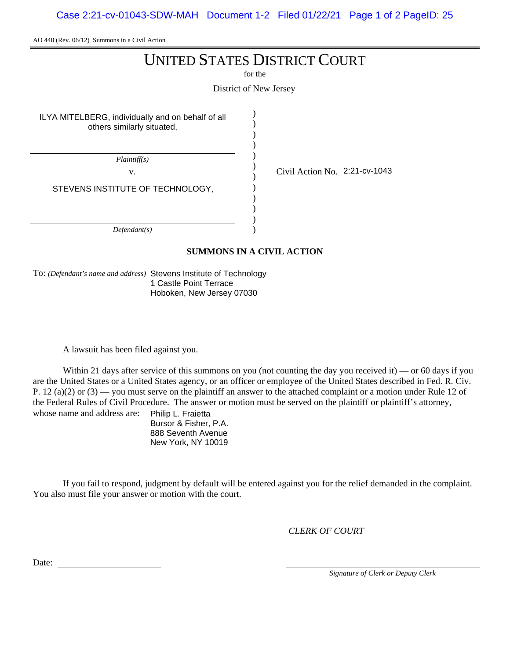Case 2:21-cv-01043-SDW-MAH Document 1-2 Filed 01/22/21 Page 1 of 2 PageID: 25

AO 440 (Rev. 06/12) Summons in a Civil Action

# UNITED STATES DISTRICT COURT

for the

District of New Jersey

) )

ILYA MITELBERG, individually and on behalf of all others similarly situated,

) ) ) ) ) ) ) ) ) ) *Plaintiff(s)* v.  $\qquad \qquad \begin{array}{cc} \text{V} & \text{Civil Action No.} \end{array}$  2:21-cv-1043 *Defendant(s)* STEVENS INSTITUTE OF TECHNOLOGY,

## **SUMMONS IN A CIVIL ACTION**

To: *(Defendant's name and address)* Stevens Institute of Technology 1 Castle Point Terrace Hoboken, New Jersey 07030

A lawsuit has been filed against you.

Within 21 days after service of this summons on you (not counting the day you received it) — or 60 days if you are the United States or a United States agency, or an officer or employee of the United States described in Fed. R. Civ. P. 12 (a)(2) or  $(3)$  — you must serve on the plaintiff an answer to the attached complaint or a motion under Rule 12 of the Federal Rules of Civil Procedure. The answer or motion must be served on the plaintiff or plaintiff's attorney, whose name and address are: Philip L. Fraietta

Bursor & Fisher, P.A. 888 Seventh Avenue New York, NY 10019

If you fail to respond, judgment by default will be entered against you for the relief demanded in the complaint. You also must file your answer or motion with the court.

*CLERK OF COURT*

Date:

*Signature of Clerk or Deputy Clerk*